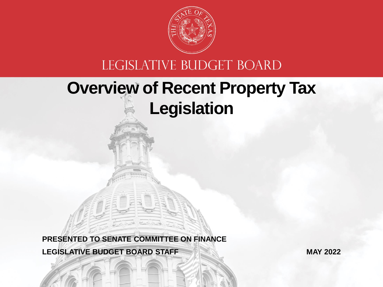

#### LEGISLATIVE BUDGET BOARD

## **Overview of Recent Property Tax Legislation**

**LEGISLATIVE BUDGET BOARD STAFF PRESENTED TO SENATE COMMITTEE ON FINANCE**

**MAY 2022**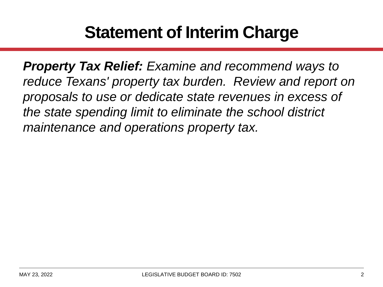## **Statement of Interim Charge**

*Property Tax Relief: Examine and recommend ways to reduce Texans' property tax burden. Review and report on proposals to use or dedicate state revenues in excess of the state spending limit to eliminate the school district maintenance and operations property tax.*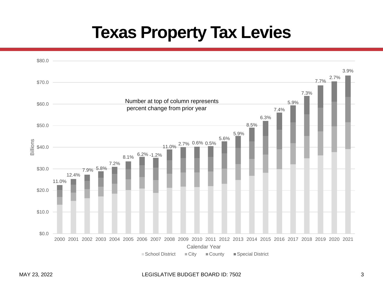#### **Texas Property Tax Levies**



#### MAY 23, 2022 LEGISLATIVE BUDGET BOARD ID: 7502 3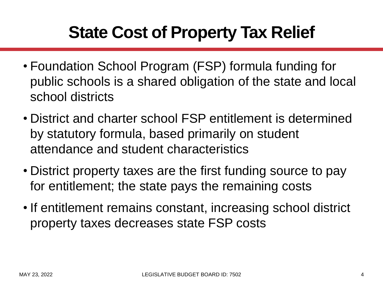# **State Cost of Property Tax Relief**

- Foundation School Program (FSP) formula funding for public schools is a shared obligation of the state and local school districts
- District and charter school FSP entitlement is determined by statutory formula, based primarily on student attendance and student characteristics
- District property taxes are the first funding source to pay for entitlement; the state pays the remaining costs
- If entitlement remains constant, increasing school district property taxes decreases state FSP costs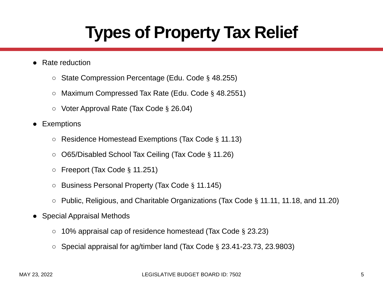# **Types of Property Tax Relief**

- **Rate reduction** 
	- State Compression Percentage (Edu. Code § 48.255)
	- Maximum Compressed Tax Rate (Edu. Code § 48.2551)
	- Voter Approval Rate (Tax Code § 26.04)
- **Exemptions** 
	- Residence Homestead Exemptions (Tax Code § 11.13)
	- O65/Disabled School Tax Ceiling (Tax Code § 11.26)
	- Freeport (Tax Code § 11.251)
	- Business Personal Property (Tax Code § 11.145)
	- Public, Religious, and Charitable Organizations (Tax Code § 11.11, 11.18, and 11.20)
- Special Appraisal Methods
	- 10% appraisal cap of residence homestead (Tax Code § 23.23)
	- $\circ$  Special appraisal for ag/timber land (Tax Code § 23.41-23.73, 23.9803)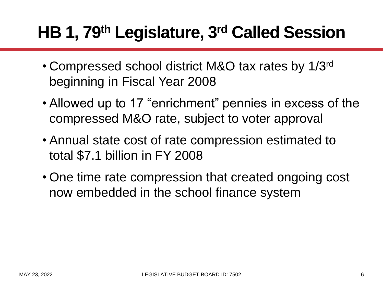# **HB 1, 79th Legislature, 3rd Called Session**

- Compressed school district M&O tax rates by 1/3rd beginning in Fiscal Year 2008
- Allowed up to 17 "enrichment" pennies in excess of the compressed M&O rate, subject to voter approval
- Annual state cost of rate compression estimated to total \$7.1 billion in FY 2008
- One time rate compression that created ongoing cost now embedded in the school finance system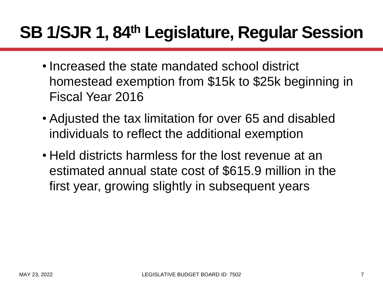# **SB 1/SJR 1, 84th Legislature, Regular Session**

- Increased the state mandated school district homestead exemption from \$15k to \$25k beginning in Fiscal Year 2016
- Adjusted the tax limitation for over 65 and disabled individuals to reflect the additional exemption
- Held districts harmless for the lost revenue at an estimated annual state cost of \$615.9 million in the first year, growing slightly in subsequent years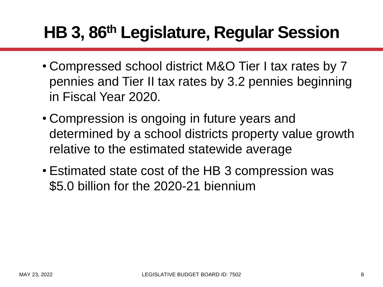# **HB 3, 86th Legislature, Regular Session**

- Compressed school district M&O Tier I tax rates by 7 pennies and Tier II tax rates by 3.2 pennies beginning in Fiscal Year 2020.
- Compression is ongoing in future years and determined by a school districts property value growth relative to the estimated statewide average
- Estimated state cost of the HB 3 compression was \$5.0 billion for the 2020-21 biennium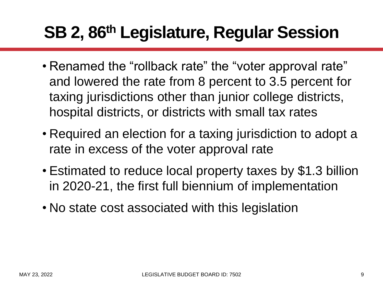# **SB 2, 86th Legislature, Regular Session**

- Renamed the "rollback rate" the "voter approval rate" and lowered the rate from 8 percent to 3.5 percent for taxing jurisdictions other than junior college districts, hospital districts, or districts with small tax rates
- Required an election for a taxing jurisdiction to adopt a rate in excess of the voter approval rate
- Estimated to reduce local property taxes by \$1.3 billion in 2020-21, the first full biennium of implementation
- No state cost associated with this legislation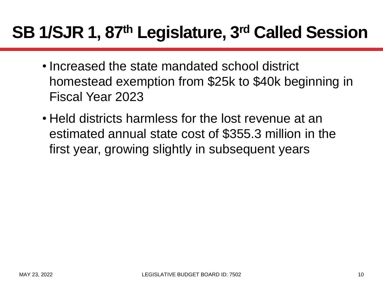# **SB 1/SJR 1, 87th Legislature, 3rd Called Session**

- Increased the state mandated school district homestead exemption from \$25k to \$40k beginning in Fiscal Year 2023
- Held districts harmless for the lost revenue at an estimated annual state cost of \$355.3 million in the first year, growing slightly in subsequent years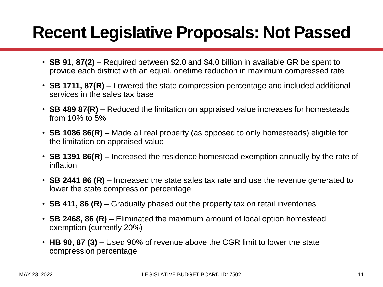## **Recent Legislative Proposals: Not Passed**

- **SB 91, 87(2) –** Required between \$2.0 and \$4.0 billion in available GR be spent to provide each district with an equal, onetime reduction in maximum compressed rate
- **SB 1711, 87(R) –** Lowered the state compression percentage and included additional services in the sales tax base
- **SB 489 87(R) –** Reduced the limitation on appraised value increases for homesteads from 10% to 5%
- **SB 1086 86(R) –** Made all real property (as opposed to only homesteads) eligible for the limitation on appraised value
- **SB 1391 86(R) –** Increased the residence homestead exemption annually by the rate of inflation
- **SB 2441 86 (R) –** Increased the state sales tax rate and use the revenue generated to lower the state compression percentage
- **SB 411, 86 (R) –** Gradually phased out the property tax on retail inventories
- **SB 2468, 86 (R) –** Eliminated the maximum amount of local option homestead exemption (currently 20%)
- **HB 90, 87 (3) –** Used 90% of revenue above the CGR limit to lower the state compression percentage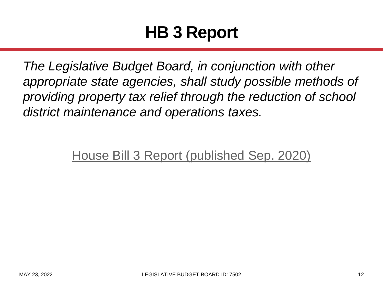## **HB 3 Report**

*The Legislative Budget Board, in conjunction with other appropriate state agencies, shall study possible methods of providing property tax relief through the reduction of school district maintenance and operations taxes.*

[House Bill 3 Report \(published Sep. 2020\)](https://www.lbb.texas.gov/Documents/Publications/Policy_Report/6391_HB3_Revenue_Policy_Report.pdf)